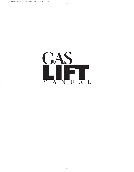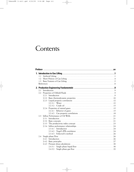## **Contents**

| $1\;1$<br>12<br>1 <sup>3</sup> |  |
|--------------------------------|--|
|                                |  |
|                                |  |
|                                |  |
|                                |  |
|                                |  |
|                                |  |
| 2.1                            |  |
| 2.2                            |  |
|                                |  |
| 222                            |  |
| 2.2.3                          |  |
|                                |  |
|                                |  |
|                                |  |
|                                |  |
| 2.2.4.2                        |  |
| 2.3                            |  |
| 2.31                           |  |
| 2.3.2                          |  |
| 2.3.3                          |  |
| 2.3.4                          |  |
|                                |  |
| 2.3.4.2                        |  |
|                                |  |
| 2.4                            |  |
| 241                            |  |
| 2.4.2                          |  |
| 2.4.3                          |  |
| 2.4.3.1                        |  |
| 2.4.3.2                        |  |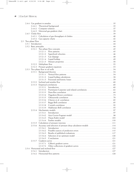|     |       | 2.4.4.1 |           |                                                                                                                                                                                                                                |  |
|-----|-------|---------|-----------|--------------------------------------------------------------------------------------------------------------------------------------------------------------------------------------------------------------------------------|--|
|     |       | 2.4.4.2 |           |                                                                                                                                                                                                                                |  |
|     |       | 2.4.4.3 |           |                                                                                                                                                                                                                                |  |
|     |       |         |           |                                                                                                                                                                                                                                |  |
|     |       | 2.4.5.1 |           |                                                                                                                                                                                                                                |  |
|     |       | 2.4.5.2 |           | Gas capacity charts in the continuum of the capacity charts in the capacity charts in the continuum of the control of the control of the control of the control of the control of the control of the control of the control of |  |
| 2.5 |       |         |           |                                                                                                                                                                                                                                |  |
|     | 2.51  |         |           |                                                                                                                                                                                                                                |  |
|     | 2.5.2 |         |           |                                                                                                                                                                                                                                |  |
|     |       | 2.5.2.1 |           |                                                                                                                                                                                                                                |  |
|     |       |         | 2.5.2.1.1 |                                                                                                                                                                                                                                |  |
|     |       |         | 2.5.2.1.2 |                                                                                                                                                                                                                                |  |
|     |       |         | 2.5.2.1.3 |                                                                                                                                                                                                                                |  |
|     |       |         | 2.5.2.1.4 |                                                                                                                                                                                                                                |  |
|     |       |         | 2.5.2.1.5 |                                                                                                                                                                                                                                |  |
|     |       | 2.5.2.2 |           |                                                                                                                                                                                                                                |  |
|     |       | 2.5.2.3 |           |                                                                                                                                                                                                                                |  |
|     | 2.5.3 |         |           |                                                                                                                                                                                                                                |  |
|     |       | 2.5.3.1 |           | Background theories in the context in the context of the set of the set of the set of the set of the set of the set of the set of the set of the set of the set of the set of the set of the set of the set of the set of the  |  |
|     |       |         |           |                                                                                                                                                                                                                                |  |
|     |       |         | 2.5.3.1.2 |                                                                                                                                                                                                                                |  |
|     |       |         | 2.5.3.1.3 |                                                                                                                                                                                                                                |  |
|     |       | 2.5.3.2 |           |                                                                                                                                                                                                                                |  |
|     |       | 2.5.3.3 |           |                                                                                                                                                                                                                                |  |
|     |       |         | 2.5.3.3.1 |                                                                                                                                                                                                                                |  |
|     |       |         | 2.5.3.3.2 |                                                                                                                                                                                                                                |  |
|     |       |         | 2.5.3.3.3 |                                                                                                                                                                                                                                |  |
|     |       |         | 2.5.3.3.4 |                                                                                                                                                                                                                                |  |
|     |       |         | 2.5.3.3.5 |                                                                                                                                                                                                                                |  |
|     |       |         | 2.5.3.3.6 |                                                                                                                                                                                                                                |  |
|     |       |         | 2.5.3.3.7 |                                                                                                                                                                                                                                |  |
|     |       |         | 2.5.3.3.8 |                                                                                                                                                                                                                                |  |
|     |       |         | 2.5.3.3.9 |                                                                                                                                                                                                                                |  |
|     |       | 2.5.3.4 |           | Mechanistic models                                                                                                                                                                                                             |  |
|     |       |         | 2.5.3.4.1 |                                                                                                                                                                                                                                |  |
|     |       |         | 2.5.3.4.2 |                                                                                                                                                                                                                                |  |
|     |       |         | 2.5.3.4.3 |                                                                                                                                                                                                                                |  |
|     |       |         | 2.5.3.4.4 |                                                                                                                                                                                                                                |  |
|     |       | 2.5.3.5 |           |                                                                                                                                                                                                                                |  |
|     |       | 2.5.3.6 |           | Accuracy and selection of pressure drop calculation models 114                                                                                                                                                                 |  |
|     |       |         | 2.5.3.6.1 |                                                                                                                                                                                                                                |  |
|     |       |         | 2.5.3.6.2 |                                                                                                                                                                                                                                |  |
|     |       |         | 2.5.3.6.3 |                                                                                                                                                                                                                                |  |
|     |       |         | 2.5.3.6.4 |                                                                                                                                                                                                                                |  |
|     |       |         | 2.5.3.6.5 |                                                                                                                                                                                                                                |  |
|     |       | 2.5.3.7 |           |                                                                                                                                                                                                                                |  |
|     |       |         | 2.5.3.7.1 |                                                                                                                                                                                                                                |  |
|     |       |         | 2.5.3.7.2 |                                                                                                                                                                                                                                |  |
|     |       |         |           |                                                                                                                                                                                                                                |  |
|     |       | 2.5.4.1 |           |                                                                                                                                                                                                                                |  |
|     |       | 2.5.4.2 |           |                                                                                                                                                                                                                                |  |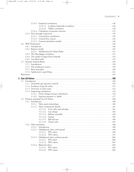|  |       |         | 2.5.4.3.1       |                          |  |
|--|-------|---------|-----------------|--------------------------|--|
|  |       |         | 2.5.4.3.2       |                          |  |
|  |       | 2.5.4.4 |                 |                          |  |
|  |       |         |                 |                          |  |
|  |       | 2.5.5.1 |                 |                          |  |
|  |       | 2.5.5.2 |                 |                          |  |
|  |       | 2.5.5.3 |                 |                          |  |
|  |       |         |                 |                          |  |
|  | 2.6.1 |         |                 |                          |  |
|  |       |         |                 |                          |  |
|  |       |         |                 |                          |  |
|  | 2.6.3 |         |                 |                          |  |
|  | 2.6.4 |         |                 |                          |  |
|  |       |         |                 |                          |  |
|  |       |         |                 |                          |  |
|  |       |         |                 |                          |  |
|  |       |         |                 |                          |  |
|  |       |         |                 |                          |  |
|  | 2.7.3 |         |                 |                          |  |
|  |       |         |                 |                          |  |
|  |       |         |                 |                          |  |
|  |       |         |                 |                          |  |
|  |       |         |                 |                          |  |
|  |       |         |                 |                          |  |
|  |       |         |                 |                          |  |
|  |       |         |                 |                          |  |
|  |       |         |                 |                          |  |
|  |       |         |                 |                          |  |
|  |       | 3.1.4.2 |                 |                          |  |
|  |       |         |                 |                          |  |
|  | 3.2.1 |         |                 | $Introduction \dots 180$ |  |
|  |       | 3.2.1.1 |                 |                          |  |
|  |       | 3.2.1.2 |                 |                          |  |
|  |       |         |                 |                          |  |
|  |       |         | 3.2.1.2.2       |                          |  |
|  |       |         | 3.2.1.2.3       |                          |  |
|  |       |         | 3.2.1.2.4       |                          |  |
|  |       |         | 3.2.1.2.5       |                          |  |
|  |       |         | 3.2.1.2.6       |                          |  |
|  |       |         |                 |                          |  |
|  |       | 3 2 2 1 |                 |                          |  |
|  |       | 3.2.2.2 |                 |                          |  |
|  |       |         | 3.2.2.2.1       |                          |  |
|  |       |         | 3.2.2.2.2       |                          |  |
|  |       | 3.2.2.3 |                 |                          |  |
|  |       |         | 3.2.2.3.1       |                          |  |
|  |       |         | 3.2.2.3.2       |                          |  |
|  |       |         |                 |                          |  |
|  |       | 3.2.2.4 | Balanced valves |                          |  |
|  |       |         | 3.2.2.4.1       |                          |  |
|  |       |         | 3.2.2.4.2       |                          |  |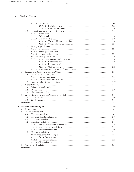|     |       |         | 3.2.2.5.1 |                                                                                                                |      |
|-----|-------|---------|-----------|----------------------------------------------------------------------------------------------------------------|------|
|     |       |         | 3.2.2.5.2 |                                                                                                                |      |
|     |       |         |           |                                                                                                                |      |
|     |       | 3.2.3.1 |           |                                                                                                                |      |
|     |       | 3.2.3.2 |           |                                                                                                                |      |
|     |       | 3.2.3.3 |           |                                                                                                                |      |
|     |       |         | 3.2.3.3.1 |                                                                                                                |      |
|     |       |         | 3.2.3.3.2 |                                                                                                                |      |
|     |       |         |           |                                                                                                                |      |
|     |       | 3.2.4.1 |           |                                                                                                                |      |
|     |       | 3.2.4.2 |           |                                                                                                                |      |
|     |       | 3.2.4.3 |           |                                                                                                                |      |
|     | 3.2.5 |         |           |                                                                                                                |      |
|     |       | 3.2.5.1 |           |                                                                                                                |      |
|     |       |         | 3.2.5.1.1 |                                                                                                                |      |
|     |       |         | 3.2.5.1.2 |                                                                                                                |      |
|     |       |         | 3.2.5.1.3 |                                                                                                                |      |
|     |       | 3.2.5.2 |           |                                                                                                                |      |
|     |       |         |           |                                                                                                                |      |
|     |       |         |           |                                                                                                                |      |
|     |       | 3.3.1.1 |           |                                                                                                                |      |
|     |       | 3.3.1.2 |           |                                                                                                                |      |
|     |       |         |           |                                                                                                                |      |
| 3.4 |       |         |           |                                                                                                                |      |
|     |       |         |           |                                                                                                                |      |
|     |       |         |           |                                                                                                                |      |
|     |       |         |           |                                                                                                                |      |
| 3.5 |       |         |           |                                                                                                                |      |
|     |       |         |           |                                                                                                                |      |
|     |       |         |           |                                                                                                                |      |
|     |       |         |           |                                                                                                                |      |
|     |       |         |           |                                                                                                                |      |
|     |       |         |           |                                                                                                                |      |
|     |       |         |           |                                                                                                                |      |
| 4.2 |       |         |           |                                                                                                                | .245 |
|     | 4.2.1 |         |           |                                                                                                                |      |
|     | 4.2.2 |         |           |                                                                                                                |      |
|     | 4 2 3 |         |           |                                                                                                                |      |
|     |       |         |           |                                                                                                                |      |
|     |       | 4.2.4.1 |           |                                                                                                                |      |
|     |       | 4.2.4.2 |           |                                                                                                                |      |
|     |       | 4.2.4.3 |           |                                                                                                                |      |
|     | 4.2.5 |         |           |                                                                                                                |      |
|     |       |         |           | 4.2.6 Miscellaneous Installation Types (and according term of the control of the control of the control of the |      |
|     |       | 4.2.6.1 |           |                                                                                                                |      |
|     |       | 4.2.6.2 |           |                                                                                                                |      |
|     |       |         |           |                                                                                                                |      |
| 4.3 |       |         |           |                                                                                                                |      |
|     |       |         |           |                                                                                                                |      |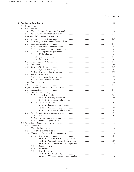| 5.1 |       |         |           |  |
|-----|-------|---------|-----------|--|
| 5.2 |       |         |           |  |
|     |       |         |           |  |
|     |       |         |           |  |
| 5.3 |       |         |           |  |
|     |       |         |           |  |
|     |       |         |           |  |
|     |       |         |           |  |
|     |       | 5.3.3.1 |           |  |
|     |       | 5.3.3.2 |           |  |
|     |       |         |           |  |
|     |       | 5.3.4.1 |           |  |
|     |       | 5.3.4.2 |           |  |
|     |       | 5.3.4.3 |           |  |
| 5.4 |       |         |           |  |
|     |       |         |           |  |
|     |       |         |           |  |
|     |       | 5421    |           |  |
|     |       | 5.4.2.2 |           |  |
|     |       |         |           |  |
|     |       | 5.4.3.1 |           |  |
|     |       | 5.4.3.2 |           |  |
|     |       |         |           |  |
|     |       |         |           |  |
| 5.5 |       |         |           |  |
|     |       |         |           |  |
|     |       |         |           |  |
|     |       |         |           |  |
|     |       |         | 5.5.2.1.1 |  |
|     |       |         | 5.5.2.1.2 |  |
|     |       | 5.5.2.2 |           |  |
|     |       |         | 5.5.2.2.1 |  |
|     |       |         | 5.5.2.2.2 |  |
|     |       |         |           |  |
|     |       |         |           |  |
|     |       | 5.5.3.1 |           |  |
|     |       | 5532    |           |  |
|     |       | 5.5.3.3 |           |  |
|     |       |         |           |  |
|     |       |         |           |  |
|     | 5.6.2 |         |           |  |
|     | 5.6.3 |         |           |  |
|     |       |         |           |  |
|     |       | 5.6.4.1 |           |  |
|     |       |         |           |  |
|     |       |         | 5.6.4.1.2 |  |
|     |       |         | 5.6.4.1.3 |  |
|     |       | 5.6.4.2 |           |  |
|     |       | 5.6.4.3 |           |  |
|     |       | 5.6.4.4 |           |  |
|     |       |         | 5.6.4.4.1 |  |
|     |       |         | 5.6.4.4.2 |  |
|     |       |         |           |  |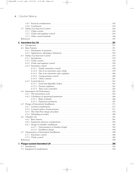| 5.7        |         |  |
|------------|---------|--|
|            |         |  |
|            |         |  |
|            |         |  |
|            |         |  |
|            |         |  |
|            |         |  |
| 6.1<br>6.2 |         |  |
|            |         |  |
|            |         |  |
|            |         |  |
| 6.3        |         |  |
|            |         |  |
|            |         |  |
|            | 6.3.3   |  |
|            |         |  |
|            | 6.3.4.1 |  |
|            | 6.3.4.2 |  |
|            | 6.3.4.3 |  |
|            | 6.3.4.4 |  |
|            | 6.3.4.5 |  |
|            | 6.3.5   |  |
|            | 6.3.5.1 |  |
|            | 6.3.5.2 |  |
|            | 6.3.5.3 |  |
| 6.4        |         |  |
|            | 6.4.1   |  |
|            | 6.4.2   |  |
|            | 6.4.2.1 |  |
|            | 6.4.2.2 |  |
| 6.5        |         |  |
|            |         |  |
|            |         |  |
|            | 6.5.3   |  |
|            |         |  |
| 6.6        |         |  |
|            | 6.6.1   |  |
|            |         |  |
|            |         |  |
|            |         |  |
|            | 6.6.3.2 |  |
| 6.7        |         |  |
|            |         |  |
|            |         |  |
|            |         |  |
|            |         |  |
| 71         |         |  |
|            |         |  |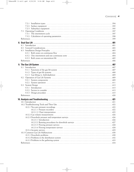| 7.2.1 |  |
|-------|--|
| 7.2.2 |  |
|       |  |
| 7.3   |  |
|       |  |
|       |  |
|       |  |
|       |  |
| 8.1   |  |
| 8.2   |  |
| 8.3   |  |
|       |  |
|       |  |
|       |  |
|       |  |
|       |  |
| 9.1   |  |
|       |  |
|       |  |
|       |  |
| 9.2   |  |
|       |  |
|       |  |
| 9.3   |  |
|       |  |
|       |  |
|       |  |
|       |  |
|       |  |
|       |  |
|       |  |
|       |  |
|       |  |
|       |  |
|       |  |
|       |  |
|       |  |
|       |  |
|       |  |
|       |  |
|       |  |
|       |  |
|       |  |
|       |  |
|       |  |
|       |  |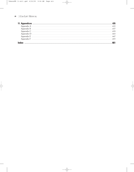#### xiv | GAS LIFT MANUAL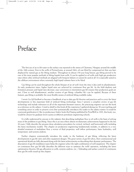## Preface

The first use of air to lift water to the surface was reported in the mines of Chemnitz, Hungary around the middle of the 18th century. First in the wells of Pennsylvania, at around 1864, oil was lifted by compressed air that was later displaced by natural gas as the lifting medium. Throughout its almost 150-year long history, gas lifting proved to be one of the most popular methods of lifting liquids from wells. It can be applied in oil wells with high gas production rates where other artificial methods are plagued with frequent failures or cannot be used at all. It is especially suited to the offshore environment where extremely high liquid volumes have to be lifted.

Gas lifting can be used throughout the whole lifespan of an oil well: from the time it dies until its abandonment. At early production times, higher liquid rates are achieved by continuous flow gas lift. As the field depletes and formation pressure and liquid rates decrease, easy conversion to intermittent gas lift ensures that production goals are met. Close to well abandonment, another version of gas lifting—chamber lift—can be applied. Because of these features, gas lifting is probably the most flexible means of artificial lifting available today.

I wrote *Gas Lift Handbook* to become a handbook of up-to-date gas lift theories and practices and to cover the latest developments in this important field of artificial lifting technology. Since I present a complete review of gas lift technology and include references to all of the important literature sources, the practicing engineer can use the book as a reference on the subject. I tried to distill in this book all the experience I gathered during my 30-year teaching and consulting career in order to present a text that systematically introduces the reader to the subject matter. It would be a personal gratification if, like its predecessor *Modern Sucker-Rod Pumping* published by PennWell in 1993, this book, too, would be chosen for graduate level courses at different petroleum engineering schools.

It is fully understood by anyone in the industry that describing multiphase flow in oil wells is the basis of solving most of the problems in gas lifting. Since this is an area where almost revolutionary achievements happened in the last 20 years, I fully describe the pressure drop calculation procedures for vertical, inclined, and horizontal wells including the latest mechanistic models. The chapter on production engineering fundamentals includes, in addition to a very detailed treatment of multiphase flow, a review of fluid properties, well inflow performance, basic hydraulics, well temperature, and systems analysis.

Further chapters systematically introduce the reader to the hardware of gas lifting, reflecting the latest developments in gas lift valve and other equipment designs. The great variety of gas lift valves, their constructional and operational details are fully discussed along with the latest achievements on describing their dynamic performance. The description of gas lift installation types helps the engineer select the right combination of well equipment. The chapter on continuous flow gas lift fully describes the different ways to optimize the wells' operation, including the latest optimization theories (lift gas allocation to wells, systems analysis, etc.). Unloading and surface control of continuous flow gas lift wells round up this chapter.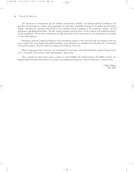#### xvi | GAS LIFT MANUAL

The discussion of intermittent gas lift includes conventional, chamber, and plunger-assisted installations and describes the performance, design, and optimization of such wells. A detailed treatment of the surface gas lift system follows, including the operation and design of the complete system consisting of the compressor station, and the distribution and gathering facilities. The last chapter includes practical advice on the analysis and troubleshooting of gas lift installations. All necessary calculations are fully discussed, and the many charts in the appendices are intended to help field engineers.

Nowadays, personal computers belong to every petroleum engineer's desk and this book was designed with this fact in mind. Since most design and analysis problems in gas lifting are too complex to be solved by the conventional tools of the engineer, I heavily relied on computerized solutions in the text.

While writing this book I burned a lot of midnight oil and many times had regretfully neglected those I love most—my family. Their patience and understanding is appreciated.

This is already the third project I have worked on with PennWell. Ms. Marla Patterson (PennWell) and Ms. Sue Rhodes Dodd (Amethyst Enterprises) were always most helpful and forgiving. A special "thank you" to both of them.

> Gábor Takács July 2005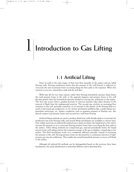# 1 **Introduction to Gas Lifting**

### **1.1 Artificial Lifting**

Most oil wells in the early stages of their lives flow naturally to the surface and are called flowing wells. Flowing production means that the pressure at the well bottom is sufficient to overcome the sum of pressure losses occurring along the flow path to the separator. When this criterion is not met, natural flow ends and the well dies.

Wells may die for two main reasons: either their flowing bottomhole pressure drops below the total pressure losses in the well, or the opposite happens and pressure losses in the well become greater than the bottomhole pressure needed for moving the wellstream to the surface. The first case occurs when a gradual decrease in reservoir pressure takes place because of the removal of fluids from the underground reservoir. The second case involves an increasing flow resistance in the well, generally caused by (a) an increase in the density of the flowing fluid as a result of decreased gas production; or (b) various mechanical problems like a small tubing size, downhole restrictions, etc. Surface conditions, such as separator pressure or flowline size, also directly impact total pressure losses and can prevent a well from flowing.

Artificial lifting methods are used to produce fluids from wells already dead or to increase the production rate from flowing wells; and several lifting mechanisms are available to choose from. One widely used type of artificial lift method uses a pump set below the liquid level in the well to increase the pressure so as to overcome flowing pressure losses that occur along the flow path to the surface. Other lifting methods use compressed gas, injected periodically below the liquid present in the well tubing and use the expansion energy of the gas to displace a liquid slug to the surface. The third mechanism works on a completely different principle: instead of increasing the pressure in the well, flowing pressure losses are decreased by a continuous injection of highpressure gas into the wellstream. This enables the actual bottomhole pressure to move well fluids to the surface.

Although all artificial lift methods can be distinguished based on the previous three basic mechanisms, the usual classification is somewhat different and is discussed here.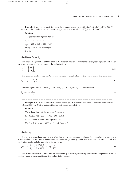**Example 2–4.** Find the deviation factor for a natural gas at  $p = 1,200$  psia (8.28 MPa) and  $T = 200$  °F (366 K), if the pseudocritical parameters are  $p_{bc} = 630$  psia (4.35 MPa) and  $T_{bc} = 420$  °R (233 K).

#### **Solution**

The pseudoreduced parameters are

$$
p_{pr} = 1,200 / 630 = 1.9
$$
  

$$
T_{br} = (200 + 460) / 420 = 1.57
$$

Using these values, from Figure 2–2:

 $Z = 0.85$ 

#### 

#### *Gas Volume Factor,* Bg

The Engineering Equation of State enables the direct calculation of volume factors for gases. Equation 2.15 can be written for a given number of moles in the following form:

$$
\frac{pV}{ZT_a} = \left(\frac{pV}{ZT_a}\right)_{\text{sc}}
$$

This equation can be solved for *B<sub>g</sub>*, which is the ratio of actual volume to the volume at standard conditions:

$$
B_g = \frac{V}{V_{sc}} = \frac{p_{sc}ZT_a}{pZ_{sc}T_{sc}}
$$

Substituting into this the values  $p_{sc} = 14.7$  psia,  $T_{sc} = 520$  °R, and  $Z_{sc} = 1$ , one arrives at

$$
B_g = 0.0283 \frac{ZT_a}{b}
$$

**Example 2–5.** What is the actual volume of the gas, if its volume measured at standard conditions is 1.2 Mscf  $(33.9 \text{ m}^3)$ ? Other data are identical to those of Example 2–4.

#### **Solution**

The volume factor of the gas, from Equation 2.21:

 $B_q = 0.0283 \, 0.85 \, (200 + 460) / 1200 = 0.013$ 

Actual volume is found from Equation 2.6:

 $V(p,T) = B_d V_{sc} = 0.013$  1200 = 15.6 cu ft (0.44 m<sup>3</sup>).

#### *Gas Density*

The fact that gas volume factor is an explicit function of state parameters allows a direct calculation of gas density at any conditions. Based on the definition of volume factor, gas density can be expressed from Equation 2.7, and after substituting the formula for gas volume factor, we get

$$
\rho(p,T) = \frac{\rho_{sc}}{B_g} = \frac{0.0764 \gamma_g p}{0.0283 Z T_a} = 2.7 \gamma_g \frac{p}{Z T_a}
$$

The previous formula is used to find the actual density of natural gases at any pressure and temperature based on the knowledge of their specific gravities and deviation factors.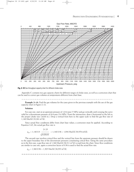

**Fig. 2–12** Gas throughput capacity chart for different choke sizes.

Appendix C contains two gas capacity charts for different ranges of choke sizes, as well as a correction chart that can be used to correct gas volumes at temperatures different from chart base.

**Example 2–18.** Find the gas volumes for the cases given in the previous example with the use of the gas capacity chart in Figure 2–12.

#### **Solution**

For case one, start at an upstream pressure of 1,014 psia (7 MPa) and go vertically until crossing the curve valid for a downstream pressure of 814 psia (5.6 MPa). From the intersection, draw a horizontal to the left to the proper choke size (16/64 in.). Drop a vertical from here to the upper scale to find the gas flow rate of 1,140 Mscf/d  $(32,281 \text{ m}^3/\text{d})$ .

Since actual flow conditions differ from chart base values, a correction must be applied. According to Equation 2.65, the actual gas flow rate is

$$
q_{act} = 1,140 \ 0.9 \ \frac{21.25}{\sqrt{0.65610}} = 1,140 \ 0.96 = 1,094 \ \text{Mscf/d} \ (30,978 \ \text{m3/d}).
$$

The second case involves critical flow and the vertical line from the upstream pressure should be drawn to the upper boundary line of the downstream pressures constituting critical flow. Using the same procedure as in the first case, a gas flow rate of 1,360 Mscf/d (38,511  $\text{m}^3$ /d) is read from the chart. Since flow conditions are similar to case one, again a correction factor of 0.96 is used to find the actual flow rate:

 $q_{act} = 1,360\ 0.96 = 1,305\ \text{Mscf/d}\ (36,953\ \text{m}^3/\text{d}).$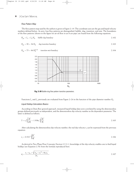#### *Flow Pattern Map*

The flow pattern map used by the authors is given in Figure 2–19. The coordinate axes are the gas and liquid velocity numbers defined before. As seen, four flow patterns are distinguished: bubble, slug, transition, and mist. The boundaries of the flow patterns (shown in the figure for air-oil flow in an 8-cm pipe) are found from the following equations:

$$
N_{g\nu} = L_1 + L_2 N_{l\nu} \qquad \text{bubble-slug boundary} \tag{2.102}
$$

$$
N_{\text{gv}} = 50 + 36 \, N_{\text{lv}} \quad \text{slug-transition boundary} \tag{2.103}
$$

 $N_{\text{dv}} = 75 + 84 N_{\text{lv}}^{0.75}$ 0.75 *transition-mist boundary* 2.104



**Fig. 2–24** Bubble-slug flow pattern transition parameters.

Functions  $L_1$  and  $L_2$  previously are evaluated from Figure 2–24 in the function of the pipe diameter number  $N_d$ .

#### *Liquid Holdup Calculation Basics*

According to Duns-Ros' general approach, measured liquid holdup data were correlated by using the dimensionless groups defined previously as independent, and the dimensionless slip velocity number as the dependent parameter. The latter is defined as follows:

$$
S = v_s \sqrt[4]{\frac{\rho_l}{g \sigma_l}} = 1.938 v_s \sqrt[4]{\frac{\rho_l}{\sigma_l}}
$$

After calculating the dimensionless slip velocity number, the real slip velocity *v<sub>s</sub>* can be expressed from the previous equation:

$$
v_{\rm s} = 0.52 S \sqrt[4]{\frac{\rho_l}{\sigma_l}}
$$

As derived in Two-Phase Flow Concepts (Section 2.5.2.1), knowledge of the slip velocity enables one to find liquid holdup (see Equation 2.78) from the formula reproduced here:

$$
\varepsilon_{l} = \frac{v_{s} - v_{m} + \sqrt{(v_{m} - v_{s})^{2} + 4v_{s}v_{sl}}}{2v_{s}}
$$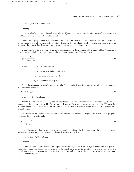*2.5.3.3.6 Chierici et al. correlation.* 

#### *Summary*

*Practically identical to the Orkiszewski model. The only difference is in slug flow, where the authors eliminated the discontinuities in liquid holdup occurring when the original model is applied.*

Chierici et al. [55] adopted the Orkiszewski model for the prediction of flow patterns and the calculation of pressure gradients in all but the slug flow pattern. Therefore, this correlation can be regarded as a slightly modified version of the original. For this reason, only the modifications are detailed as follows.

In slug flow, Chierici et al. used the drift-flux approach for the determination of the liquid holdup. According to this theory, liquid holdup is found from the following basic equation (see Equation 2.76):

$$
\mathcal{E}_l = 1 \frac{v_{sg}}{C_0 v_m + v_b} \tag{2.152}
$$

where:  $C_0 =$  distribution factor, -

 $v_m$  = mixture superficial velocity, ft/s

 $v_{sd}$  = gas superficial velocity, ft/s

 $v_b$  = bubble rise velocity, ft/s

The authors assumed the distribution factor to be  $C_0 = 1$ , and calculated the bubble rise velocity  $v_b$  as suggested by Griffith and Wallis [52]:

$$
v_b = C_1 C_2 \sqrt{gd}
$$
 2.153

where:  $d =$  pipe diameter, ft

As with the Orkiszewski model,  $C_4$  is found from Figure 2–34. When finding the other parameter  $C_2$ , the authors showed that the method proposed by Orkiszewski is defective. There are no problems in the  $N_{\text{Re}} \leq 6,000$  range, but at higher Reynolds numbers the extrapolation functions given by Orkiszewski (see Equations 2.140 –2.143) result in discontinuities.

To prevent the discontinuities caused by the Orkiszewski extrapolations of Figure 2–35, Chierici et al. proposed the use of the following formula:

$$
C_2 = \frac{1}{1 - 0.2 \frac{v_m}{v_b}}
$$

The authors proved that the use of the previous equation eliminates the discontinuities of the calculated  $C_2$  values and ensures the convergence of pressure gradient calculations in slug flow.

#### *2.5.3.3.7 Beggs-Brill correlation.*

#### *Summary*

The first correlation developed for all pipe inclination angles was based on a great number of data gathered from a large-scale flow loop. Flow patterns are determined for a horizontal direction only and are solely used as correlating parameters. Its main strength is that it enables a simple treatment of inclined wells and the description of the well-flowline system.